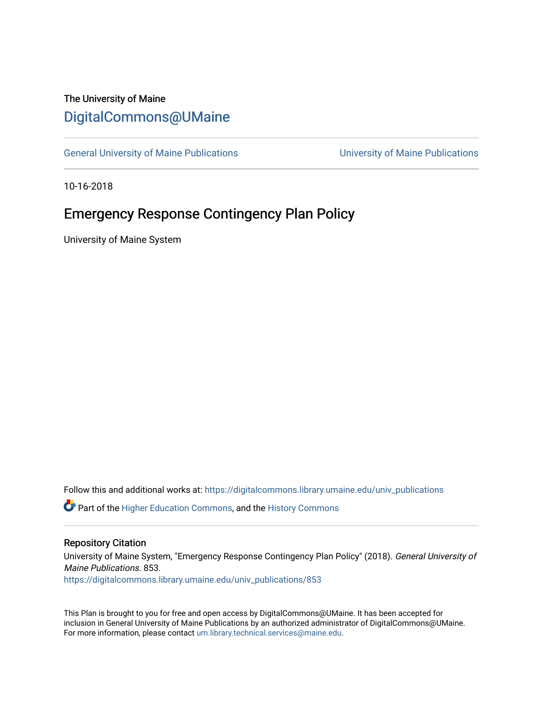# The University of Maine [DigitalCommons@UMaine](https://digitalcommons.library.umaine.edu/)

[General University of Maine Publications](https://digitalcommons.library.umaine.edu/univ_publications) [University of Maine Publications](https://digitalcommons.library.umaine.edu/umaine_publications) 

10-16-2018

# Emergency Response Contingency Plan Policy

University of Maine System

Follow this and additional works at: [https://digitalcommons.library.umaine.edu/univ\\_publications](https://digitalcommons.library.umaine.edu/univ_publications?utm_source=digitalcommons.library.umaine.edu%2Funiv_publications%2F853&utm_medium=PDF&utm_campaign=PDFCoverPages) 

**C** Part of the [Higher Education Commons,](http://network.bepress.com/hgg/discipline/1245?utm_source=digitalcommons.library.umaine.edu%2Funiv_publications%2F853&utm_medium=PDF&utm_campaign=PDFCoverPages) and the [History Commons](http://network.bepress.com/hgg/discipline/489?utm_source=digitalcommons.library.umaine.edu%2Funiv_publications%2F853&utm_medium=PDF&utm_campaign=PDFCoverPages)

#### Repository Citation

University of Maine System, "Emergency Response Contingency Plan Policy" (2018). General University of Maine Publications. 853.

[https://digitalcommons.library.umaine.edu/univ\\_publications/853](https://digitalcommons.library.umaine.edu/univ_publications/853?utm_source=digitalcommons.library.umaine.edu%2Funiv_publications%2F853&utm_medium=PDF&utm_campaign=PDFCoverPages) 

This Plan is brought to you for free and open access by DigitalCommons@UMaine. It has been accepted for inclusion in General University of Maine Publications by an authorized administrator of DigitalCommons@UMaine. For more information, please contact [um.library.technical.services@maine.edu](mailto:um.library.technical.services@maine.edu).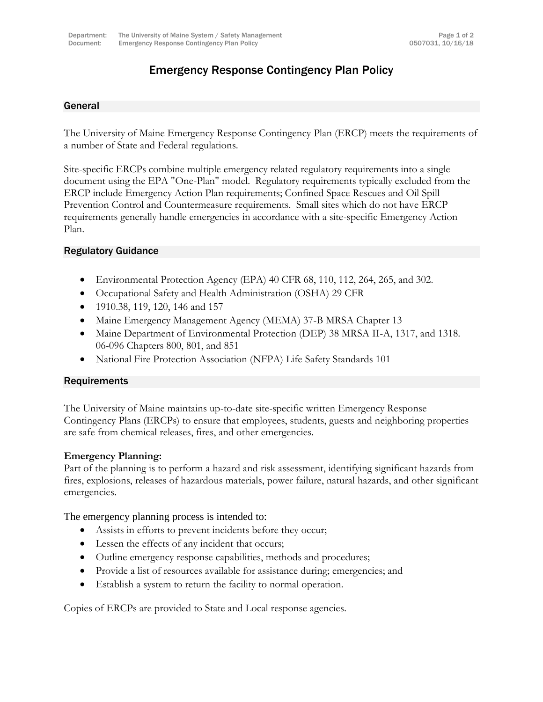## Emergency Response Contingency Plan Policy

### General

The University of Maine Emergency Response Contingency Plan (ERCP) meets the requirements of a number of State and Federal regulations.

Site-specific ERCPs combine multiple emergency related regulatory requirements into a single document using the EPA "One-Plan" model. Regulatory requirements typically excluded from the ERCP include Emergency Action Plan requirements; Confined Space Rescues and Oil Spill Prevention Control and Countermeasure requirements. Small sites which do not have ERCP requirements generally handle emergencies in accordance with a site-specific Emergency Action Plan.

### Regulatory Guidance

- Environmental Protection Agency (EPA) 40 CFR 68, 110, 112, 264, 265, and 302.
- Occupational Safety and Health Administration (OSHA) 29 CFR
- 1910.38, 119, 120, 146 and 157
- Maine Emergency Management Agency (MEMA) 37-B MRSA Chapter 13
- Maine Department of Environmental Protection (DEP) 38 MRSA II-A, 1317, and 1318. 06-096 Chapters 800, 801, and 851
- National Fire Protection Association (NFPA) Life Safety Standards 101

### **Requirements**

The University of Maine maintains up-to-date site-specific written Emergency Response Contingency Plans (ERCPs) to ensure that employees, students, guests and neighboring properties are safe from chemical releases, fires, and other emergencies.

### **Emergency Planning:**

Part of the planning is to perform a hazard and risk assessment, identifying significant hazards from fires, explosions, releases of hazardous materials, power failure, natural hazards, and other significant emergencies.

The emergency planning process is intended to:

- Assists in efforts to prevent incidents before they occur;
- Lessen the effects of any incident that occurs;
- Outline emergency response capabilities, methods and procedures;
- Provide a list of resources available for assistance during; emergencies; and
- Establish a system to return the facility to normal operation.

Copies of ERCPs are provided to State and Local response agencies.